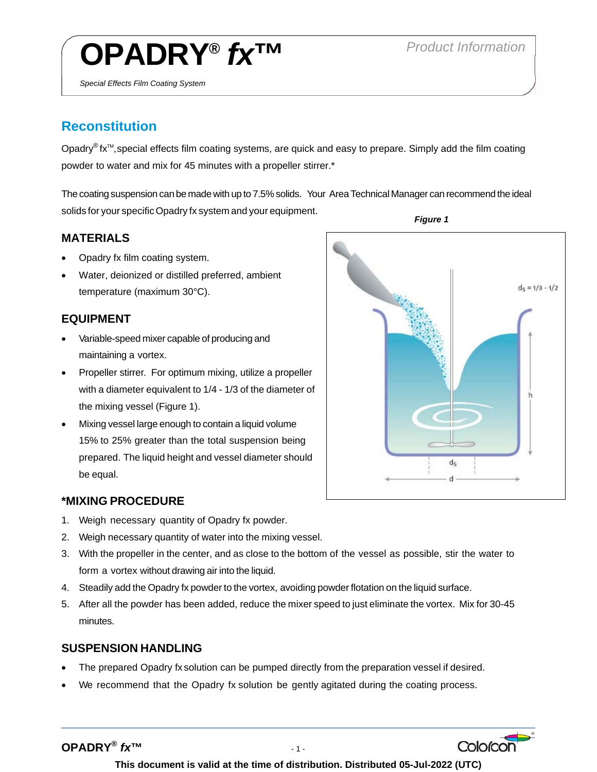# **OPADRY®** *fx***™** *Product Information*

## **Reconstitution**

*Special Effects Film Coating System* 

Opadry<sup>®</sup> fx<sup>™</sup>, special effects film coating systems, are quick and easy to prepare. Simply add the film coating powder to water and mix for 45 minutes with a propeller stirrer.\*

The coating suspension can be made with up to 7.5% solids. Your Area Technical Manager can recommend the ideal solids for your specific Opadry fx system and your equipment.

### **MATERIALS**

- Opadry fx film coating system.
- Water, deionized or distilled preferred, ambient temperature (maximum 30°C).

#### **EQUIPMENT**

- Variable-speed mixer capable of producing and maintaining a vortex.
- Propeller stirrer. For optimum mixing, utilize a propeller with a diameter equivalent to 1/4 - 1/3 of the diameter of the mixing vessel (Figure 1).
- Mixing vessel large enough to contain a liquid volume 15% to 25% greater than the total suspension being prepared. The liquid height and vessel diameter should be equal.



- 1. Weigh necessary quantity of Opadry fx powder.
- 2. Weigh necessary quantity of water into the mixing vessel.
- 3. With the propeller in the center, and as close to the bottom of the vessel as possible, stir the water to form a vortex without drawing air into the liquid.
- 4. Steadily add the Opadry fx powder to the vortex, avoiding powder flotation on the liquid surface.
- 5. After all the powder has been added, reduce the mixer speed to just eliminate the vortex. Mix for 30-45 minutes.

### **SUSPENSION HANDLING**

- The prepared Opadry fx solution can be pumped directly from the preparation vessel if desired.
- We recommend that the Opadry fx solution be gently agitated during the coating process.